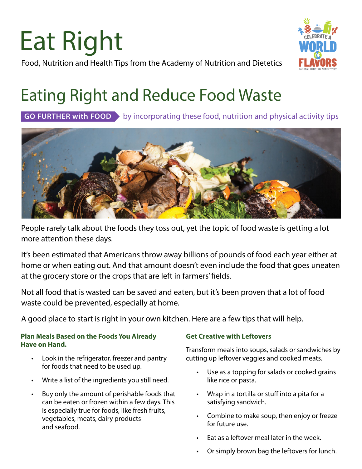# Eat Right



Food, Nutrition and Health Tips from the Academy of Nutrition and Dietetics

### Eating Right and Reduce Food Waste

**GO FURTHER with FOOD** by incorporating these food, nutrition and physical activity tips



People rarely talk about the foods they toss out, yet the topic of food waste is getting a lot more attention these days.

It's been estimated that Americans throw away billions of pounds of food each year either at home or when eating out. And that amount doesn't even include the food that goes uneaten at the grocery store or the crops that are left in farmers' fields.

Not all food that is wasted can be saved and eaten, but it's been proven that a lot of food waste could be prevented, especially at home.

A good place to start is right in your own kitchen. Here are a few tips that will help.

#### **Plan Meals Based on the Foods You Already Have on Hand.**

- Look in the refrigerator, freezer and pantry for foods that need to be used up.
- Write a list of the ingredients you still need.
- Buy only the amount of perishable foods that can be eaten or frozen within a few days. This is especially true for foods, like fresh fruits, vegetables, meats, dairy products and seafood.

#### **Get Creative with Leftovers**

Transform meals into soups, salads or sandwiches by cutting up leftover veggies and cooked meats.

- Use as a topping for salads or cooked grains like rice or pasta.
- Wrap in a tortilla or stuff into a pita for a satisfying sandwich.
- Combine to make soup, then enjoy or freeze for future use.
- Eat as a leftover meal later in the week.
- Or simply brown bag the leftovers for lunch.